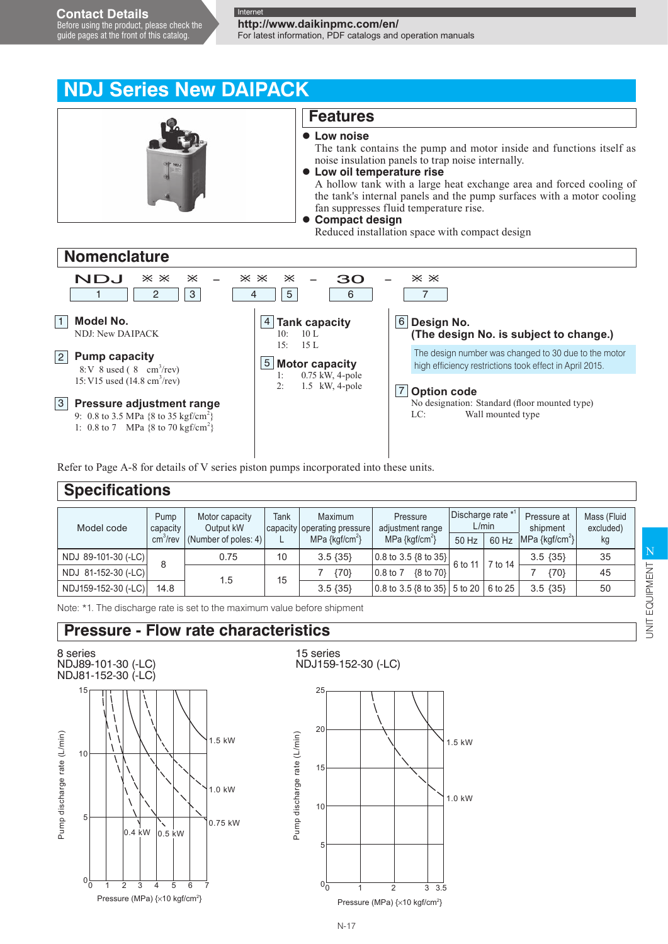**http://www.daikinpmc.com/en/**

For latest information, PDF catalogs and operation manuals



9: 0.8 to 3.5 MPa  $\{8 \text{ to } 35 \text{ kgf/cm}^2\}$ 1:  $0.8 \text{ to } 7$  MPa  $\{8 \text{ to } 70 \text{ kgf/cm}^2\}$ 

Refer to Page A-8 for details of V series piston pumps incorporated into these units.

| <b>Specifications</b> |                                          |                                                        |      |                                                              |                                                       |                                          |         |                         |                          |
|-----------------------|------------------------------------------|--------------------------------------------------------|------|--------------------------------------------------------------|-------------------------------------------------------|------------------------------------------|---------|-------------------------|--------------------------|
| Model code            | Pump<br>capacity<br>cm <sup>3</sup> /rev | Motor capacity<br>Output kW<br>(Number of poles: $4$ ) | Tank | Maximum<br>capacity operating pressure<br>MPa $\{kgf/cm^2\}$ | Pressure<br>adjustment range                          | Discharge rate $*$ <sup>1</sup><br>L/min |         | Pressure at<br>shipment | Mass (Fluid<br>excluded) |
|                       |                                          |                                                        |      |                                                              | MPa $\{ \text{kqf/cm}^2 \}$                           | 50 Hz                                    | 60 Hz   | $ MPa \{kgf/cm^2\} $    | kg                       |
| NDJ 89-101-30 (-LC)   | 8                                        | 0.75                                                   | 10   | $3.5 \{35\}$                                                 | $\vert 0.8 \text{ to } 3.5 \{\text{8 to } 35\} \vert$ | 6 to 11                                  | 7 to 14 | $3.5 \{35\}$            | 35                       |
| NDJ 81-152-30 (-LC)   |                                          | 1.5                                                    | 15   | ${70}$                                                       | $0.8$ to $7$<br>{8 to 70}                             |                                          |         | ${70}$                  | 45                       |
| NDJ159-152-30 (-LC)   | 14.8                                     |                                                        |      | $3.5 \{35\}$                                                 | $\vert 0.8 \rangle$ to 3.5 {8 to 35} 5 to 20          |                                          | 6 to 25 | $3.5 \{35\}$            | 50                       |

Note: \*1. The discharge rate is set to the maximum value before shipment

### **Pressure - Flow rate characteristics**

8 series NDJ89-101-30 (-LC) NDJ81-152-30 (-LC)



15 series NDJ159-152-30 (-LC)



 $N-17$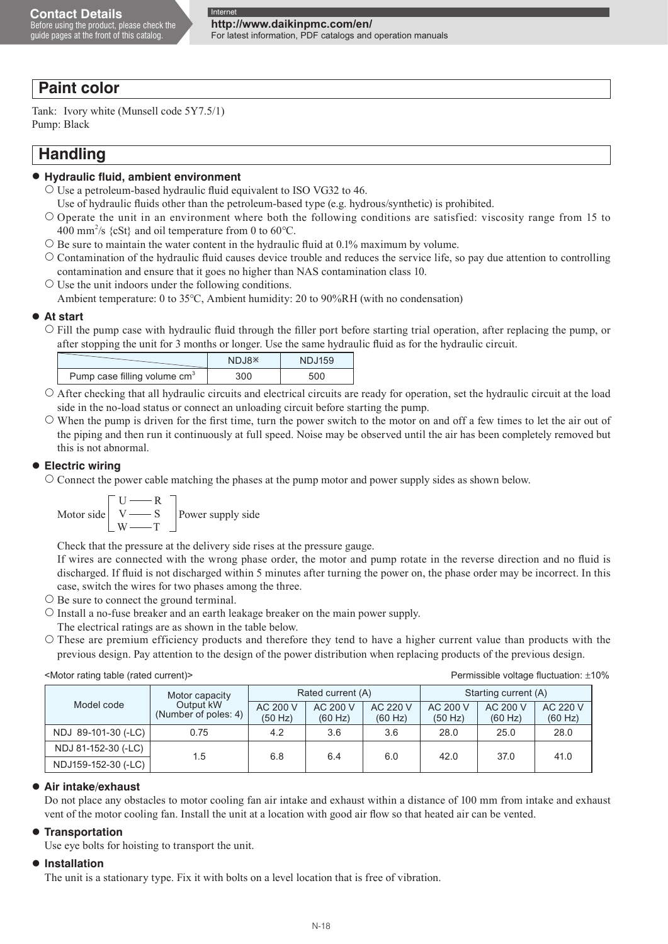For latest information, PDF catalogs and operation manuals

### **Paint color**

Tank: Ivory white (Munsell code 5Y7.5/1) Pump: Black

### **Handling**

#### **Hydraulic fluid, ambient environment**

- $\circ$  Use a petroleum-based hydraulic fluid equivalent to ISO VG32 to 46.
	- Use of hydraulic fluids other than the petroleum-based type (e.g. hydrous/synthetic) is prohibited.
- $\circ$  Operate the unit in an environment where both the following conditions are satisfied: viscosity range from 15 to 400 mm<sup>2</sup>/s {cSt} and oil temperature from 0 to 60°C.
- $\circ$  Be sure to maintain the water content in the hydraulic fluid at 0.1% maximum by volume.
- $\circ$  Contamination of the hydraulic fluid causes device trouble and reduces the service life, so pay due attention to controlling contamination and ensure that it goes no higher than NAS contamination class 10.
- $\circ$  Use the unit indoors under the following conditions. Ambient temperature: 0 to 35°C, Ambient humidity: 20 to 90%RH (with no condensation)

#### **At start**

 $\circ$  Fill the pump case with hydraulic fluid through the filler port before starting trial operation, after replacing the pump, or after stopping the unit for 3 months or longer. Use the same hydraulic fluid as for the hydraulic circuit.

|                                          | NDJ8 <sup>*</sup> | <b>NDJ159</b> |
|------------------------------------------|-------------------|---------------|
| Pump case filling volume cm <sup>3</sup> | 300               | 500           |

- $\circ$  After checking that all hydraulic circuits and electrical circuits are ready for operation, set the hydraulic circuit at the load side in the no-load status or connect an unloading circuit before starting the pump.
- $\circ$  When the pump is driven for the first time, turn the power switch to the motor on and off a few times to let the air out of the piping and then run it continuously at full speed. Noise may be observed until the air has been completely removed but this is not abnormal.

#### **Electric wiring**

 Connect the power cable matching the phases at the pump motor and power supply sides as shown below.

$$
\text{Motor side} \begin{bmatrix} U \longrightarrow R \\ V \longrightarrow S \\ W \longrightarrow T \end{bmatrix} \text{Power supply side}
$$

Check that the pressure at the delivery side rises at the pressure gauge.

 If wires are connected with the wrong phase order, the motor and pump rotate in the reverse direction and no fluid is discharged. If fluid is not discharged within 5 minutes after turning the power on, the phase order may be incorrect. In this case, switch the wires for two phases among the three.

- $\circ$  Be sure to connect the ground terminal.
- $\circ$  Install a no-fuse breaker and an earth leakage breaker on the main power supply.
- The electrical ratings are as shown in the table below.
- These are premium efficiency products and therefore they tend to have a higher current value than products with the previous design. Pay attention to the design of the power distribution when replacing products of the previous design.

<Motor rating table (rated current)> Permissible voltage fluctuation: ±10%

|                     | Motor capacity<br>Output kW<br>(Number of poles: 4) |                     | Rated current (A)   |                     | Starting current (A) |                     |                     |
|---------------------|-----------------------------------------------------|---------------------|---------------------|---------------------|----------------------|---------------------|---------------------|
| Model code          |                                                     | AC 200 V<br>(50 Hz) | AC 200 V<br>(60 Hz) | AC 220 V<br>(60 Hz) | AC 200 V<br>(50 Hz)  | AC 200 V<br>(60 Hz) | AC 220 V<br>(60 Hz) |
| NDJ 89-101-30 (-LC) | 0.75                                                | 4.2                 | 3.6                 | 3.6                 | 28.0                 | 25.0                | 28.0                |
| NDJ 81-152-30 (-LC) | 1.5                                                 | 6.8                 |                     |                     | 42.0                 | 37.0                |                     |
| NDJ159-152-30 (-LC) |                                                     |                     | 6.4                 | 6.0                 |                      |                     | 41.0                |

#### **Air intake/exhaust**

Do not place any obstacles to motor cooling fan air intake and exhaust within a distance of 100 mm from intake and exhaust vent of the motor cooling fan. Install the unit at a location with good air flow so that heated air can be vented.

#### **Transportation**

Use eye bolts for hoisting to transport the unit.

#### **Installation**

The unit is a stationary type. Fix it with bolts on a level location that is free of vibration.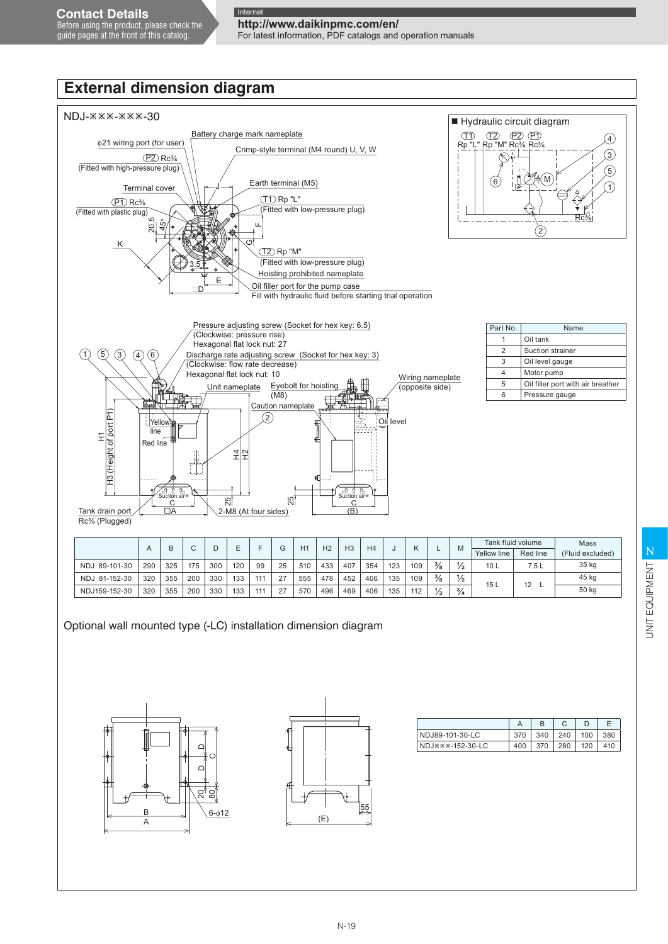Before using the product, please check the guide pages at the front of this catalog.

# **http://www.daikinpmc.com/en/**

For latest information, PDF catalogs and operation manuals

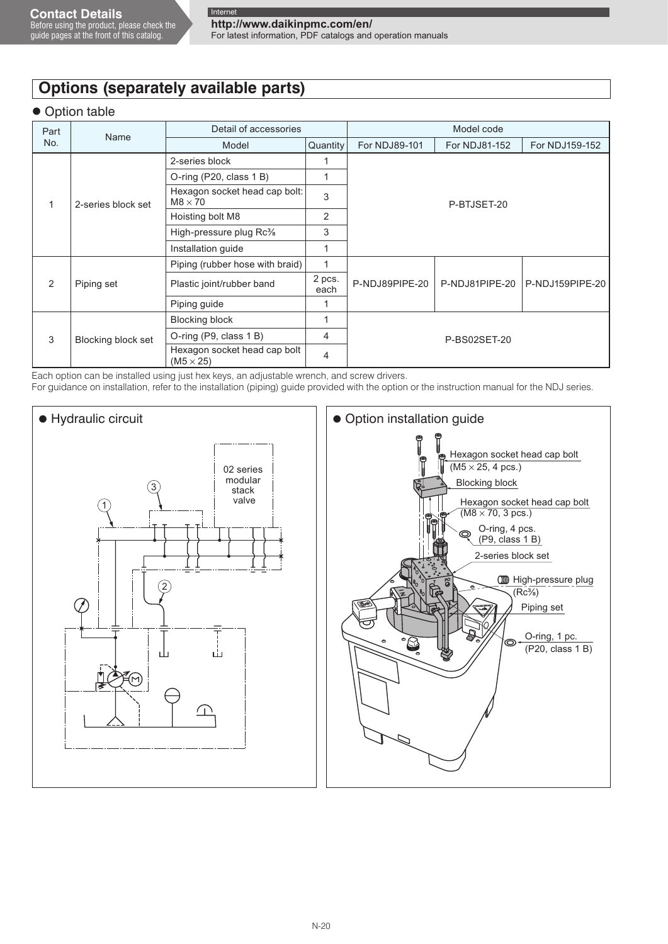guide pages at the front of this catalog.

For latest information, PDF catalogs and operation manuals

## **Options (separately available parts)**

#### **Option table**

| Part          | Name               | Detail of accessories                            | Model code     |                |                |                 |  |  |
|---------------|--------------------|--------------------------------------------------|----------------|----------------|----------------|-----------------|--|--|
| No.           |                    | Model                                            | Quantity       | For NDJ89-101  | For NDJ81-152  | For NDJ159-152  |  |  |
|               | 2-series block set | 2-series block                                   | 1              |                |                |                 |  |  |
|               |                    | O-ring (P20, class $1B$ )                        | 1              |                |                |                 |  |  |
|               |                    | Hexagon socket head cap bolt:<br>$M8 \times 70$  | 3              | P-BTJSET-20    |                |                 |  |  |
|               |                    | Hoisting bolt M8                                 | 2              |                |                |                 |  |  |
|               |                    | High-pressure plug Rc%                           | 3              |                |                |                 |  |  |
|               |                    | Installation guide                               | 1              |                |                |                 |  |  |
| $\mathcal{P}$ | Piping set         | Piping (rubber hose with braid)                  | 1              |                | P-NDJ81PIPE-20 | P-NDJ159PIPE-20 |  |  |
|               |                    | Plastic joint/rubber band                        | 2 pcs.<br>each | P-NDJ89PIPE-20 |                |                 |  |  |
|               |                    | Piping guide                                     |                |                |                |                 |  |  |
| 3             | Blocking block set | <b>Blocking block</b>                            | $\mathbf{1}$   | P-BS02SET-20   |                |                 |  |  |
|               |                    | O-ring (P9, class 1 B)                           | 4              |                |                |                 |  |  |
|               |                    | Hexagon socket head cap bolt<br>$(M5 \times 25)$ | $\overline{4}$ |                |                |                 |  |  |

Each option can be installed using just hex keys, an adjustable wrench, and screw drivers.

For guidance on installation, refer to the installation (piping) guide provided with the option or the instruction manual for the NDJ series.